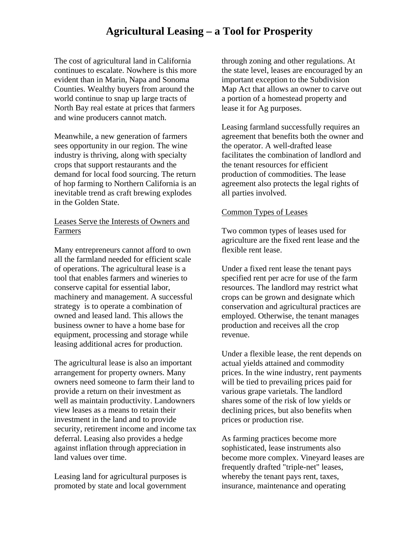# **Agricultural Leasing – a Tool for Prosperity**

The cost of agricultural land in California continues to escalate. Nowhere is this more evident than in Marin, Napa and Sonoma Counties. Wealthy buyers from around the world continue to snap up large tracts of North Bay real estate at prices that farmers and wine producers cannot match.

Meanwhile, a new generation of farmers sees opportunity in our region. The wine industry is thriving, along with specialty crops that support restaurants and the demand for local food sourcing. The return of hop farming to Northern California is an inevitable trend as craft brewing explodes in the Golden State.

#### Leases Serve the Interests of Owners and Farmers

Many entrepreneurs cannot afford to own all the farmland needed for efficient scale of operations. The agricultural lease is a tool that enables farmers and wineries to conserve capital for essential labor, machinery and management. A successful strategy is to operate a combination of owned and leased land. This allows the business owner to have a home base for equipment, processing and storage while leasing additional acres for production.

The agricultural lease is also an important arrangement for property owners. Many owners need someone to farm their land to provide a return on their investment as well as maintain productivity. Landowners view leases as a means to retain their investment in the land and to provide security, retirement income and income tax deferral. Leasing also provides a hedge against inflation through appreciation in land values over time.

Leasing land for agricultural purposes is promoted by state and local government

through zoning and other regulations. At the state level, leases are encouraged by an important exception to the Subdivision Map Act that allows an owner to carve out a portion of a homestead property and lease it for Ag purposes.

Leasing farmland successfully requires an agreement that benefits both the owner and the operator. A well-drafted lease facilitates the combination of landlord and the tenant resources for efficient production of commodities. The lease agreement also protects the legal rights of all parties involved.

#### Common Types of Leases

Two common types of leases used for agriculture are the fixed rent lease and the flexible rent lease.

Under a fixed rent lease the tenant pays specified rent per acre for use of the farm resources. The landlord may restrict what crops can be grown and designate which conservation and agricultural practices are employed. Otherwise, the tenant manages production and receives all the crop revenue.

Under a flexible lease, the rent depends on actual yields attained and commodity prices. In the wine industry, rent payments will be tied to prevailing prices paid for various grape varietals. The landlord shares some of the risk of low yields or declining prices, but also benefits when prices or production rise.

As farming practices become more sophisticated, lease instruments also become more complex. Vineyard leases are frequently drafted "triple-net" leases, whereby the tenant pays rent, taxes, insurance, maintenance and operating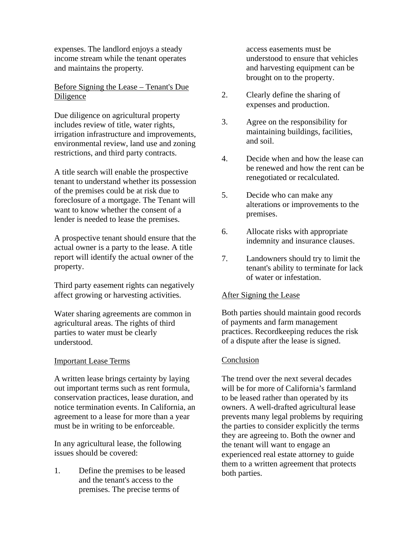expenses. The landlord enjoys a steady income stream while the tenant operates and maintains the property.

## Before Signing the Lease – Tenant's Due Diligence

Due diligence on agricultural property includes review of title, water rights, irrigation infrastructure and improvements, environmental review, land use and zoning restrictions, and third party contracts.

A title search will enable the prospective tenant to understand whether its possession of the premises could be at risk due to foreclosure of a mortgage. The Tenant will want to know whether the consent of a lender is needed to lease the premises.

A prospective tenant should ensure that the actual owner is a party to the lease. A title report will identify the actual owner of the property.

Third party easement rights can negatively affect growing or harvesting activities.

Water sharing agreements are common in agricultural areas. The rights of third parties to water must be clearly understood.

#### Important Lease Terms

A written lease brings certainty by laying out important terms such as rent formula, conservation practices, lease duration, and notice termination events. In California, an agreement to a lease for more than a year must be in writing to be enforceable.

In any agricultural lease, the following issues should be covered:

1. Define the premises to be leased and the tenant's access to the premises. The precise terms of

access easements must be understood to ensure that vehicles and harvesting equipment can be brought on to the property.

- 2. Clearly define the sharing of expenses and production.
- 3. Agree on the responsibility for maintaining buildings, facilities, and soil.
- 4. Decide when and how the lease can be renewed and how the rent can be renegotiated or recalculated.
- 5. Decide who can make any alterations or improvements to the premises.
- 6. Allocate risks with appropriate indemnity and insurance clauses.
- 7. Landowners should try to limit the tenant's ability to terminate for lack of water or infestation.

## After Signing the Lease

Both parties should maintain good records of payments and farm management practices. Recordkeeping reduces the risk of a dispute after the lease is signed.

## Conclusion

The trend over the next several decades will be for more of California's farmland to be leased rather than operated by its owners. A well-drafted agricultural lease prevents many legal problems by requiring the parties to consider explicitly the terms they are agreeing to. Both the owner and the tenant will want to engage an experienced real estate attorney to guide them to a written agreement that protects both parties.